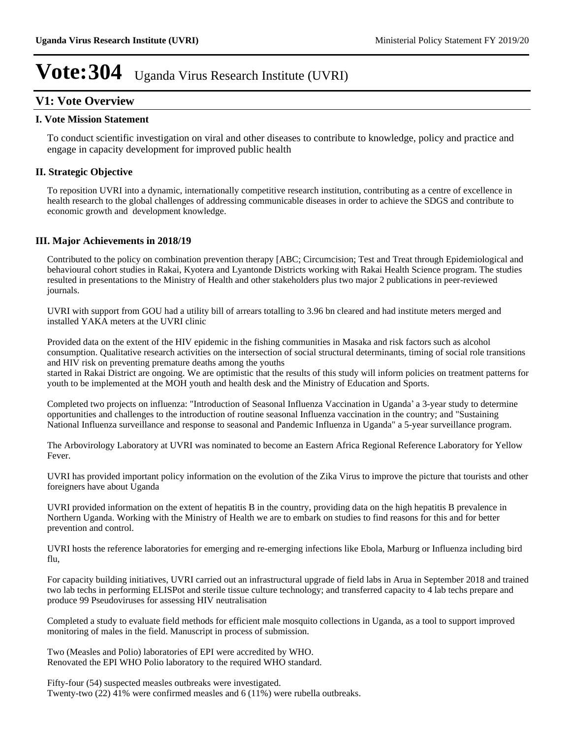# **V1: Vote Overview**

#### **I. Vote Mission Statement**

To conduct scientific investigation on viral and other diseases to contribute to knowledge, policy and practice and engage in capacity development for improved public health

## **II. Strategic Objective**

To reposition UVRI into a dynamic, internationally competitive research institution, contributing as a centre of excellence in health research to the global challenges of addressing communicable diseases in order to achieve the SDGS and contribute to economic growth and development knowledge.

## **III. Major Achievements in 2018/19**

Contributed to the policy on combination prevention therapy [ABC; Circumcision; Test and Treat through Epidemiological and behavioural cohort studies in Rakai, Kyotera and Lyantonde Districts working with Rakai Health Science program. The studies resulted in presentations to the Ministry of Health and other stakeholders plus two major 2 publications in peer-reviewed journals.

UVRI with support from GOU had a utility bill of arrears totalling to 3.96 bn cleared and had institute meters merged and installed YAKA meters at the UVRI clinic

Provided data on the extent of the HIV epidemic in the fishing communities in Masaka and risk factors such as alcohol consumption. Qualitative research activities on the intersection of social structural determinants, timing of social role transitions and HIV risk on preventing premature deaths among the youths

started in Rakai District are ongoing. We are optimistic that the results of this study will inform policies on treatment patterns for youth to be implemented at the MOH youth and health desk and the Ministry of Education and Sports.

Completed two projects on influenza: "Introduction of Seasonal Influenza Vaccination in Uganda' a 3-year study to determine opportunities and challenges to the introduction of routine seasonal Influenza vaccination in the country; and "Sustaining National Influenza surveillance and response to seasonal and Pandemic Influenza in Uganda" a 5-year surveillance program.

The Arbovirology Laboratory at UVRI was nominated to become an Eastern Africa Regional Reference Laboratory for Yellow Fever.

UVRI has provided important policy information on the evolution of the Zika Virus to improve the picture that tourists and other foreigners have about Uganda

UVRI provided information on the extent of hepatitis B in the country, providing data on the high hepatitis B prevalence in Northern Uganda. Working with the Ministry of Health we are to embark on studies to find reasons for this and for better prevention and control.

UVRI hosts the reference laboratories for emerging and re-emerging infections like Ebola, Marburg or Influenza including bird flu,

For capacity building initiatives, UVRI carried out an infrastructural upgrade of field labs in Arua in September 2018 and trained two lab techs in performing ELISPot and sterile tissue culture technology; and transferred capacity to 4 lab techs prepare and produce 99 Pseudoviruses for assessing HIV neutralisation

Completed a study to evaluate field methods for efficient male mosquito collections in Uganda, as a tool to support improved monitoring of males in the field. Manuscript in process of submission.

Two (Measles and Polio) laboratories of EPI were accredited by WHO. Renovated the EPI WHO Polio laboratory to the required WHO standard.

Fifty-four (54) suspected measles outbreaks were investigated. Twenty-two (22) 41% were confirmed measles and 6 (11%) were rubella outbreaks.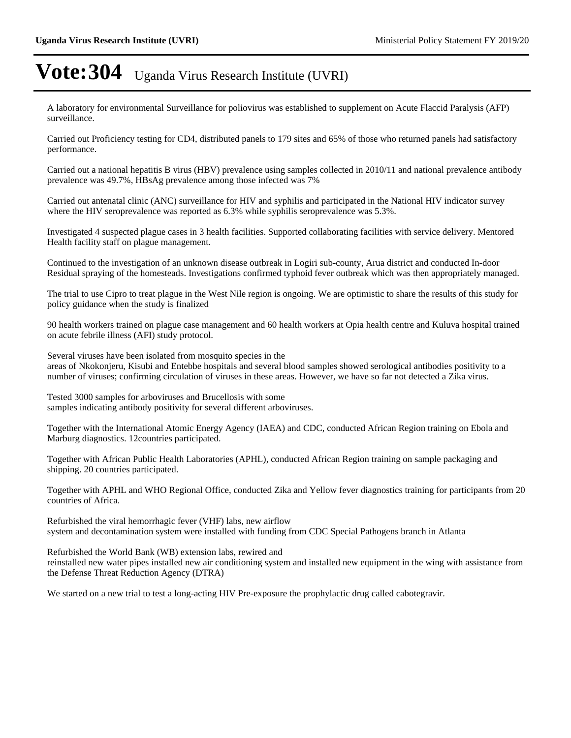A laboratory for environmental Surveillance for poliovirus was established to supplement on Acute Flaccid Paralysis (AFP) surveillance.

Carried out Proficiency testing for CD4, distributed panels to 179 sites and 65% of those who returned panels had satisfactory performance.

Carried out a national hepatitis B virus (HBV) prevalence using samples collected in 2010/11 and national prevalence antibody prevalence was 49.7%, HBsAg prevalence among those infected was 7%

Carried out antenatal clinic (ANC) surveillance for HIV and syphilis and participated in the National HIV indicator survey where the HIV seroprevalence was reported as 6.3% while syphilis seroprevalence was 5.3%.

Investigated 4 suspected plague cases in 3 health facilities. Supported collaborating facilities with service delivery. Mentored Health facility staff on plague management.

Continued to the investigation of an unknown disease outbreak in Logiri sub-county, Arua district and conducted In-door Residual spraying of the homesteads. Investigations confirmed typhoid fever outbreak which was then appropriately managed.

The trial to use Cipro to treat plague in the West Nile region is ongoing. We are optimistic to share the results of this study for policy guidance when the study is finalized

90 health workers trained on plague case management and 60 health workers at Opia health centre and Kuluva hospital trained on acute febrile illness (AFI) study protocol.

Several viruses have been isolated from mosquito species in the areas of Nkokonjeru, Kisubi and Entebbe hospitals and several blood samples showed serological antibodies positivity to a number of viruses; confirming circulation of viruses in these areas. However, we have so far not detected a Zika virus.

Tested 3000 samples for arboviruses and Brucellosis with some samples indicating antibody positivity for several different arboviruses.

Together with the International Atomic Energy Agency (IAEA) and CDC, conducted African Region training on Ebola and Marburg diagnostics. 12countries participated.

Together with African Public Health Laboratories (APHL), conducted African Region training on sample packaging and shipping. 20 countries participated.

Together with APHL and WHO Regional Office, conducted Zika and Yellow fever diagnostics training for participants from 20 countries of Africa.

Refurbished the viral hemorrhagic fever (VHF) labs, new airflow system and decontamination system were installed with funding from CDC Special Pathogens branch in Atlanta

Refurbished the World Bank (WB) extension labs, rewired and reinstalled new water pipes installed new air conditioning system and installed new equipment in the wing with assistance from the Defense Threat Reduction Agency (DTRA)

We started on a new trial to test a long-acting HIV Pre-exposure the prophylactic drug called cabotegravir.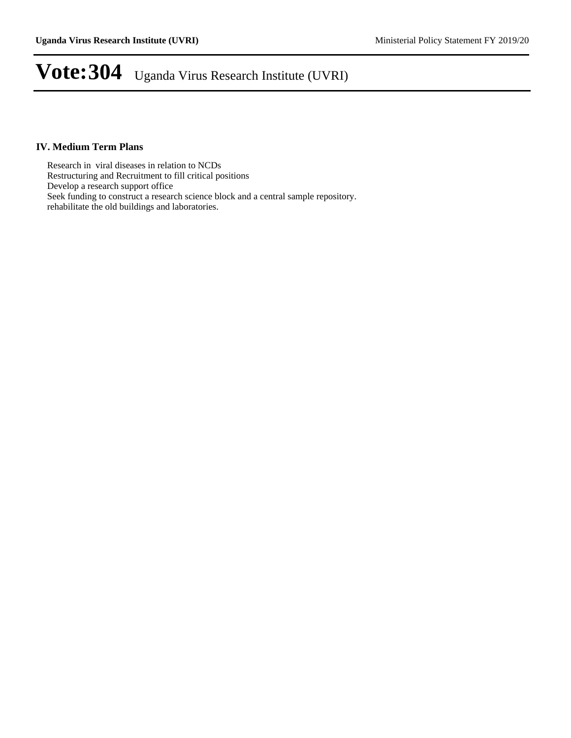## **IV. Medium Term Plans**

Research in viral diseases in relation to NCDs Restructuring and Recruitment to fill critical positions Develop a research support office Seek funding to construct a research science block and a central sample repository. rehabilitate the old buildings and laboratories.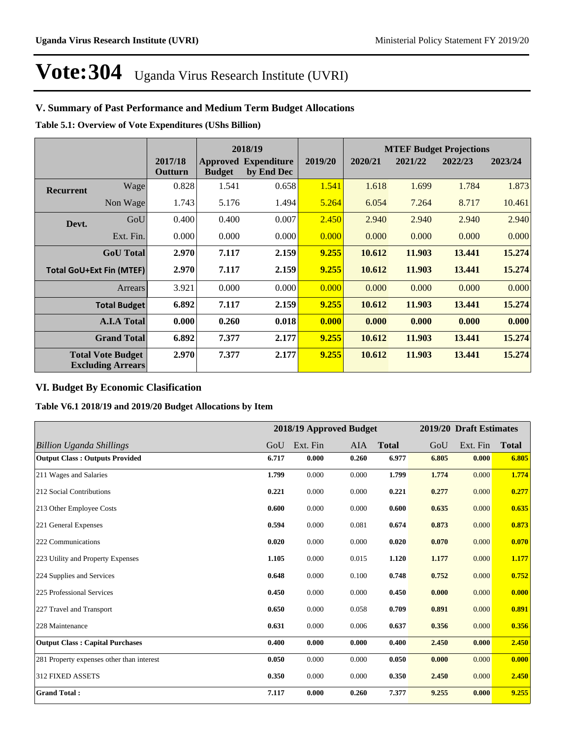# **V. Summary of Past Performance and Medium Term Budget Allocations**

**Table 5.1: Overview of Vote Expenditures (UShs Billion)**

|                  |                                                      | 2018/19            |               |                                           |         |         |         | <b>MTEF Budget Projections</b> |         |
|------------------|------------------------------------------------------|--------------------|---------------|-------------------------------------------|---------|---------|---------|--------------------------------|---------|
|                  |                                                      | 2017/18<br>Outturn | <b>Budget</b> | <b>Approved Expenditure</b><br>by End Dec | 2019/20 | 2020/21 | 2021/22 | 2022/23                        | 2023/24 |
| <b>Recurrent</b> | Wage                                                 | 0.828              | 1.541         | 0.658                                     | 1.541   | 1.618   | 1.699   | 1.784                          | 1.873   |
|                  | Non Wage                                             | 1.743              | 5.176         | 1.494                                     | 5.264   | 6.054   | 7.264   | 8.717                          | 10.461  |
| Devt.            | GoU                                                  | 0.400              | 0.400         | 0.007                                     | 2.450   | 2.940   | 2.940   | 2.940                          | 2.940   |
|                  | Ext. Fin.                                            | 0.000              | 0.000         | 0.000                                     | 0.000   | 0.000   | 0.000   | 0.000                          | 0.000   |
|                  | <b>GoU</b> Total                                     | 2.970              | 7.117         | 2.159                                     | 9.255   | 10.612  | 11.903  | 13.441                         | 15.274  |
|                  | <b>Total GoU+Ext Fin (MTEF)</b>                      | 2.970              | 7.117         | 2.159                                     | 9.255   | 10.612  | 11.903  | 13.441                         | 15.274  |
|                  | <b>Arrears</b>                                       | 3.921              | 0.000         | 0.000                                     | 0.000   | 0.000   | 0.000   | 0.000                          | 0.000   |
|                  | <b>Total Budget</b>                                  | 6.892              | 7.117         | 2.159                                     | 9.255   | 10.612  | 11.903  | 13.441                         | 15.274  |
|                  | <b>A.I.A Total</b>                                   | 0.000              | 0.260         | 0.018                                     | 0.000   | 0.000   | 0.000   | 0.000                          | 0.000   |
|                  | <b>Grand Total</b>                                   | 6.892              | 7.377         | 2.177                                     | 9.255   | 10.612  | 11.903  | 13.441                         | 15.274  |
|                  | <b>Total Vote Budget</b><br><b>Excluding Arrears</b> | 2.970              | 7.377         | 2.177                                     | 9.255   | 10.612  | 11.903  | 13.441                         | 15.274  |

# **VI. Budget By Economic Clasification**

**Table V6.1 2018/19 and 2019/20 Budget Allocations by Item**

|                                           |       | 2018/19 Approved Budget |       |              |       | 2019/20 Draft Estimates |              |
|-------------------------------------------|-------|-------------------------|-------|--------------|-------|-------------------------|--------------|
| Billion Uganda Shillings                  | GoU   | Ext. Fin                | AIA   | <b>Total</b> | GoU   | Ext. Fin                | <b>Total</b> |
| <b>Output Class: Outputs Provided</b>     | 6.717 | 0.000                   | 0.260 | 6.977        | 6.805 | 0.000                   | 6.805        |
| 211 Wages and Salaries                    | 1.799 | 0.000                   | 0.000 | 1.799        | 1.774 | 0.000                   | 1.774        |
| 212 Social Contributions                  | 0.221 | 0.000                   | 0.000 | 0.221        | 0.277 | 0.000                   | 0.277        |
| 213 Other Employee Costs                  | 0.600 | 0.000                   | 0.000 | 0.600        | 0.635 | 0.000                   | 0.635        |
| 221 General Expenses                      | 0.594 | 0.000                   | 0.081 | 0.674        | 0.873 | 0.000                   | 0.873        |
| 222 Communications                        | 0.020 | 0.000                   | 0.000 | 0.020        | 0.070 | 0.000                   | 0.070        |
| 223 Utility and Property Expenses         | 1.105 | 0.000                   | 0.015 | 1.120        | 1.177 | 0.000                   | 1.177        |
| 224 Supplies and Services                 | 0.648 | 0.000                   | 0.100 | 0.748        | 0.752 | 0.000                   | 0.752        |
| 225 Professional Services                 | 0.450 | 0.000                   | 0.000 | 0.450        | 0.000 | 0.000                   | 0.000        |
| 227 Travel and Transport                  | 0.650 | 0.000                   | 0.058 | 0.709        | 0.891 | 0.000                   | 0.891        |
| 228 Maintenance                           | 0.631 | 0.000                   | 0.006 | 0.637        | 0.356 | 0.000                   | 0.356        |
| <b>Output Class: Capital Purchases</b>    | 0.400 | 0.000                   | 0.000 | 0.400        | 2.450 | 0.000                   | 2.450        |
| 281 Property expenses other than interest | 0.050 | 0.000                   | 0.000 | 0.050        | 0.000 | 0.000                   | 0.000        |
| <b>312 FIXED ASSETS</b>                   | 0.350 | 0.000                   | 0.000 | 0.350        | 2.450 | 0.000                   | 2.450        |
| <b>Grand Total:</b>                       | 7.117 | 0.000                   | 0.260 | 7.377        | 9.255 | 0.000                   | 9.255        |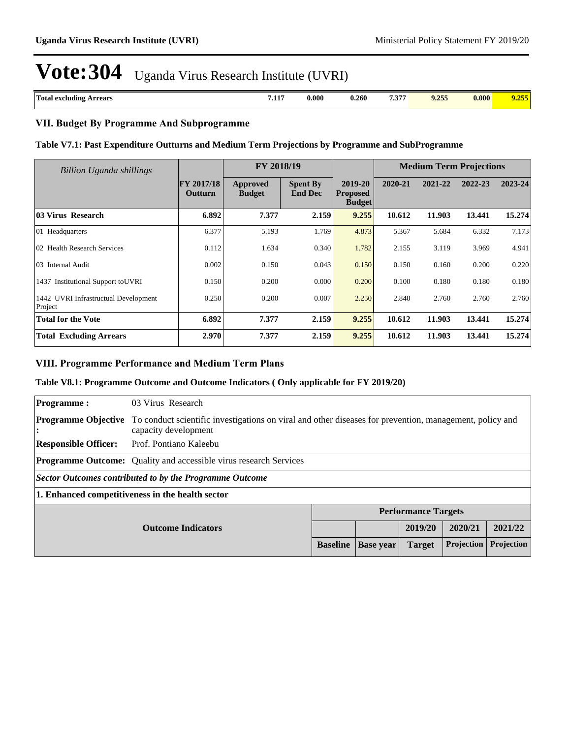| <b>CONTRACTOR</b><br>.<br>257<br>$\boldsymbol{0.000}$<br>0.260<br>rrears<br>Uotal<br>' excluding .<br>$\cdot$ .<br>ູບ | $- - -$<br>0.000<br>,,,,,, |  |
|-----------------------------------------------------------------------------------------------------------------------|----------------------------|--|
|-----------------------------------------------------------------------------------------------------------------------|----------------------------|--|

#### **VII. Budget By Programme And Subprogramme**

#### **Table V7.1: Past Expenditure Outturns and Medium Term Projections by Programme and SubProgramme**

| Billion Uganda shillings                        |                              | FY 2018/19                |                                   |                                             |         | <b>Medium Term Projections</b> |         |         |
|-------------------------------------------------|------------------------------|---------------------------|-----------------------------------|---------------------------------------------|---------|--------------------------------|---------|---------|
|                                                 | <b>FY 2017/18</b><br>Outturn | Approved<br><b>Budget</b> | <b>Spent By</b><br><b>End Dec</b> | 2019-20<br><b>Proposed</b><br><b>Budget</b> | 2020-21 | 2021-22                        | 2022-23 | 2023-24 |
| 03 Virus Research                               | 6.892                        | 7.377                     | 2.159                             | 9.255                                       | 10.612  | 11.903                         | 13.441  | 15.274  |
| 01 Headquarters                                 | 6.377                        | 5.193                     | 1.769                             | 4.873                                       | 5.367   | 5.684                          | 6.332   | 7.173   |
| 02 Health Research Services                     | 0.112                        | 1.634                     | 0.340                             | 1.782                                       | 2.155   | 3.119                          | 3.969   | 4.941   |
| 03 Internal Audit                               | 0.002                        | 0.150                     | 0.043                             | 0.150                                       | 0.150   | 0.160                          | 0.200   | 0.220   |
| 1437 Institutional Support to UVRI              | 0.150                        | 0.200                     | 0.000                             | 0.200                                       | 0.100   | 0.180                          | 0.180   | 0.180   |
| 1442 UVRI Infrastructual Development<br>Project | 0.250                        | 0.200                     | 0.007                             | 2.250                                       | 2.840   | 2.760                          | 2.760   | 2.760   |
| <b>Total for the Vote</b>                       | 6.892                        | 7.377                     | 2.159                             | 9.255                                       | 10.612  | 11.903                         | 13.441  | 15.274  |
| <b>Total Excluding Arrears</b>                  | 2.970                        | 7.377                     | 2.159                             | 9.255                                       | 10.612  | 11.903                         | 13.441  | 15.274  |

### **VIII. Programme Performance and Medium Term Plans**

### **Table V8.1: Programme Outcome and Outcome Indicators ( Only applicable for FY 2019/20)**

| <b>Programme:</b>                                                  | 03 Virus Research                                                                                                               |  |  |  |  |            |
|--------------------------------------------------------------------|---------------------------------------------------------------------------------------------------------------------------------|--|--|--|--|------------|
| <b>Programme Objective</b><br>г.                                   | To conduct scientific investigations on viral and other diseases for prevention, management, policy and<br>capacity development |  |  |  |  |            |
| <b>Responsible Officer:</b>                                        | Prof. Pontiano Kaleebu                                                                                                          |  |  |  |  |            |
|                                                                    | <b>Programme Outcome:</b> Quality and accessible virus research Services                                                        |  |  |  |  |            |
| Sector Outcomes contributed to by the Programme Outcome            |                                                                                                                                 |  |  |  |  |            |
| 1. Enhanced competitiveness in the health sector                   |                                                                                                                                 |  |  |  |  |            |
|                                                                    | <b>Performance Targets</b>                                                                                                      |  |  |  |  |            |
|                                                                    | 2019/20<br>2020/21<br><b>Outcome Indicators</b>                                                                                 |  |  |  |  | 2021/22    |
| Projection<br><b>Target</b><br><b>Baseline</b><br><b>Base year</b> |                                                                                                                                 |  |  |  |  | Projection |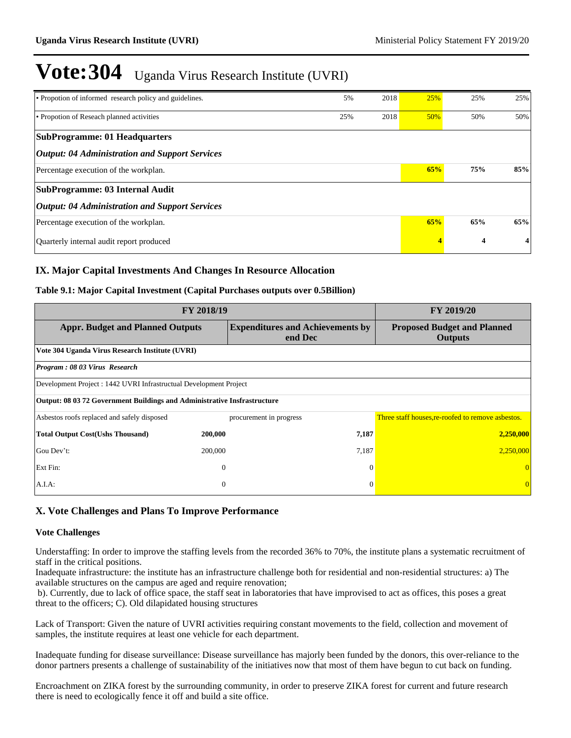| • Propotion of informed research policy and guidelines. | 5%  | 2018 | 25% | 25% | 25% |
|---------------------------------------------------------|-----|------|-----|-----|-----|
| • Propotion of Reseach planned activities               | 25% | 2018 | 50% | 50% | 50% |
| <b>SubProgramme: 01 Headquarters</b>                    |     |      |     |     |     |
| <b>Output: 04 Administration and Support Services</b>   |     |      |     |     |     |
| Percentage execution of the workplan.                   |     |      | 65% | 75% | 85% |
| SubProgramme: 03 Internal Audit                         |     |      |     |     |     |
| <b>Output: 04 Administration and Support Services</b>   |     |      |     |     |     |
| Percentage execution of the workplan.                   |     |      | 65% | 65% | 65% |
| Quarterly internal audit report produced                |     |      |     | 4   | 4   |

## **IX. Major Capital Investments And Changes In Resource Allocation**

### **Table 9.1: Major Capital Investment (Capital Purchases outputs over 0.5Billion)**

| FY 2018/19                                                                      | FY 2019/20       |                                                    |                                                      |  |  |  |
|---------------------------------------------------------------------------------|------------------|----------------------------------------------------|------------------------------------------------------|--|--|--|
| <b>Appr. Budget and Planned Outputs</b>                                         |                  | <b>Expenditures and Achievements by</b><br>end Dec | <b>Proposed Budget and Planned</b><br><b>Outputs</b> |  |  |  |
| Vote 304 Uganda Virus Research Institute (UVRI)                                 |                  |                                                    |                                                      |  |  |  |
| Program: 08 03 Virus Research                                                   |                  |                                                    |                                                      |  |  |  |
| Development Project : 1442 UVRI Infrastructual Development Project              |                  |                                                    |                                                      |  |  |  |
| <b>Output: 08 03 72 Government Buildings and Administrative Insfrastructure</b> |                  |                                                    |                                                      |  |  |  |
| Asbestos roofs replaced and safely disposed                                     |                  | procurement in progress                            | Three staff houses, re-roofed to remove asbestos.    |  |  |  |
| <b>Total Output Cost(Ushs Thousand)</b>                                         | 200,000          | 7,187                                              | 2,250,000                                            |  |  |  |
| Gou Dev't:                                                                      | 200,000          | 7,187                                              | 2,250,000                                            |  |  |  |
| Ext Fin:                                                                        | $\theta$         | $\Omega$                                           |                                                      |  |  |  |
| A.I.A:                                                                          | $\boldsymbol{0}$ | $\Omega$                                           |                                                      |  |  |  |

# **X. Vote Challenges and Plans To Improve Performance**

#### **Vote Challenges**

Understaffing: In order to improve the staffing levels from the recorded 36% to 70%, the institute plans a systematic recruitment of staff in the critical positions.

Inadequate infrastructure: the institute has an infrastructure challenge both for residential and non-residential structures: a) The available structures on the campus are aged and require renovation;

 b). Currently, due to lack of office space, the staff seat in laboratories that have improvised to act as offices, this poses a great threat to the officers; C). Old dilapidated housing structures

Lack of Transport: Given the nature of UVRI activities requiring constant movements to the field, collection and movement of samples, the institute requires at least one vehicle for each department.

Inadequate funding for disease surveillance: Disease surveillance has majorly been funded by the donors, this over-reliance to the donor partners presents a challenge of sustainability of the initiatives now that most of them have begun to cut back on funding.

Encroachment on ZIKA forest by the surrounding community, in order to preserve ZIKA forest for current and future research there is need to ecologically fence it off and build a site office.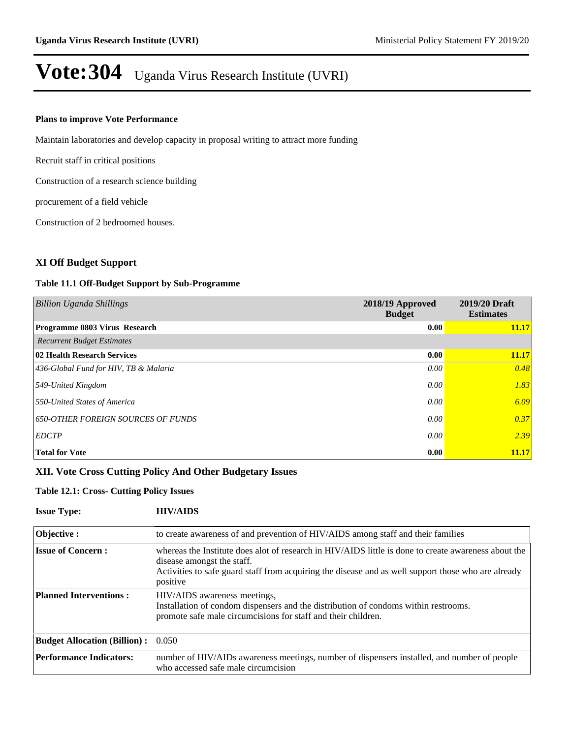#### **Plans to improve Vote Performance**

Maintain laboratories and develop capacity in proposal writing to attract more funding

Recruit staff in critical positions

Construction of a research science building

procurement of a field vehicle

Construction of 2 bedroomed houses.

### **XI Off Budget Support**

#### **Table 11.1 Off-Budget Support by Sub-Programme**

| <b>Billion Uganda Shillings</b>           | 2018/19 Approved<br><b>Budget</b> | 2019/20 Draft<br><b>Estimates</b> |
|-------------------------------------------|-----------------------------------|-----------------------------------|
| <b>Programme 0803 Virus Research</b>      | 0.00                              | 11.17                             |
| <b>Recurrent Budget Estimates</b>         |                                   |                                   |
| 02 Health Research Services               | 0.00                              | 11.17                             |
| 436-Global Fund for HIV, TB & Malaria     | 0.00                              | 0.48                              |
| 549-United Kingdom                        | 0.00                              | 1.83                              |
| 550-United States of America              | 0.00                              | 6.09                              |
| <b>650-OTHER FOREIGN SOURCES OF FUNDS</b> | 0.00                              | 0.37                              |
| <b>EDCTP</b>                              | 0.00                              | 2.39                              |
| <b>Total for Vote</b>                     | 0.00                              | 11.17                             |

### **XII. Vote Cross Cutting Policy And Other Budgetary Issues**

#### **Table 12.1: Cross- Cutting Policy Issues**

| <b>Issue Type:</b>                        | <b>HIV/AIDS</b>                                                                                                                                                                                                                                       |
|-------------------------------------------|-------------------------------------------------------------------------------------------------------------------------------------------------------------------------------------------------------------------------------------------------------|
| Objective:                                | to create awareness of and prevention of HIV/AIDS among staff and their families                                                                                                                                                                      |
| <b>Issue of Concern:</b>                  | whereas the Institute does alot of research in HIV/AIDS little is done to create awareness about the<br>disease amongst the staff.<br>Activities to safe guard staff from acquiring the disease and as well support those who are already<br>positive |
| <b>Planned Interventions:</b>             | HIV/AIDS awareness meetings,<br>Installation of condom dispensers and the distribution of condoms within restrooms.<br>promote safe male circumcisions for staff and their children.                                                                  |
| <b>Budget Allocation (Billion):</b> 0.050 |                                                                                                                                                                                                                                                       |
| <b>Performance Indicators:</b>            | number of HIV/AIDs awareness meetings, number of dispensers installed, and number of people<br>who accessed safe male circumcision                                                                                                                    |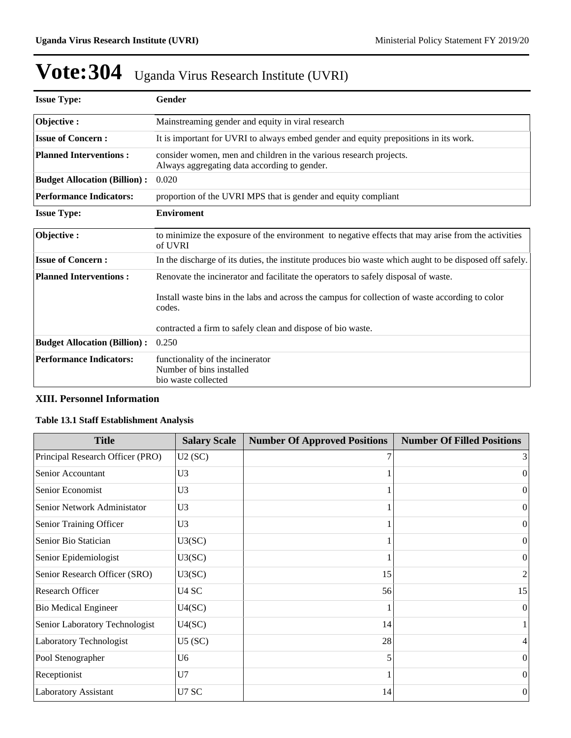| <b>Issue Type:</b>                                                                               | Gender                                                                                                             |  |  |  |
|--------------------------------------------------------------------------------------------------|--------------------------------------------------------------------------------------------------------------------|--|--|--|
| Objective:                                                                                       | Mainstreaming gender and equity in viral research                                                                  |  |  |  |
| <b>Issue of Concern:</b>                                                                         | It is important for UVRI to always embed gender and equity prepositions in its work.                               |  |  |  |
| <b>Planned Interventions:</b>                                                                    | consider women, men and children in the various research projects.<br>Always aggregating data according to gender. |  |  |  |
| <b>Budget Allocation (Billion):</b>                                                              | 0.020                                                                                                              |  |  |  |
| <b>Performance Indicators:</b><br>proportion of the UVRI MPS that is gender and equity compliant |                                                                                                                    |  |  |  |
| <b>Issue Type:</b>                                                                               | <b>Enviroment</b>                                                                                                  |  |  |  |
| Objective:                                                                                       | to minimize the exposure of the environment to negative effects that may arise from the activities<br>of UVRI      |  |  |  |
| <b>Issue of Concern:</b>                                                                         | In the discharge of its duties, the institute produces bio waste which aught to be disposed off safely.            |  |  |  |
| <b>Planned Interventions:</b>                                                                    | Renovate the incinerator and facilitate the operators to safely disposal of waste.                                 |  |  |  |
|                                                                                                  | Install waste bins in the labs and across the campus for collection of waste according to color<br>codes.          |  |  |  |
|                                                                                                  | contracted a firm to safely clean and dispose of bio waste.                                                        |  |  |  |
| <b>Budget Allocation (Billion):</b>                                                              | 0.250                                                                                                              |  |  |  |
| <b>Performance Indicators:</b>                                                                   | functionality of the incinerator<br>Number of bins installed<br>bio waste collected                                |  |  |  |

# **XIII. Personnel Information**

## **Table 13.1 Staff Establishment Analysis**

| <b>Title</b>                     | <b>Salary Scale</b> | <b>Number Of Approved Positions</b> | <b>Number Of Filled Positions</b> |
|----------------------------------|---------------------|-------------------------------------|-----------------------------------|
| Principal Research Officer (PRO) | U2(SC)              |                                     | $\frac{3}{2}$                     |
| Senior Accountant                | U <sub>3</sub>      |                                     | $\Omega$                          |
| Senior Economist                 | U <sub>3</sub>      |                                     | $\theta$                          |
| Senior Network Administator      | U <sub>3</sub>      |                                     | $\Omega$                          |
| Senior Training Officer          | U3                  |                                     | $\Omega$                          |
| Senior Bio Statician             | U3(SC)              |                                     | $\theta$                          |
| Senior Epidemiologist            | U3(SC)              |                                     | $\theta$                          |
| Senior Research Officer (SRO)    | U3(SC)              | 15                                  | 2                                 |
| <b>Research Officer</b>          | U <sub>4</sub> SC   | 56                                  | 15                                |
| <b>Bio Medical Engineer</b>      | U4(SC)              |                                     | $\Omega$                          |
| Senior Laboratory Technologist   | U4(SC)              | 14                                  |                                   |
| Laboratory Technologist          | U5(SC)              | 28                                  | 4                                 |
| Pool Stenographer                | U <sub>6</sub>      | 5                                   | $\Omega$                          |
| Receptionist                     | U7                  |                                     | $\Omega$                          |
| Laboratory Assistant             | U7 SC               | 14                                  | $\boldsymbol{0}$                  |